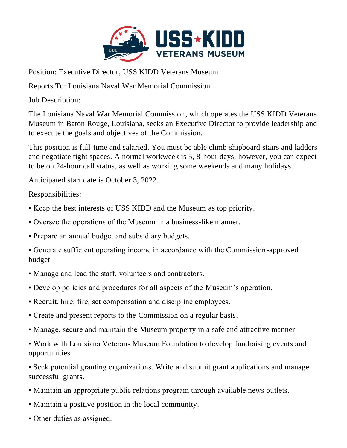

Position: Executive Director, USS KIDD Veterans Museum

Reports To: Louisiana Naval War Memorial Commission

Job Description:

The Louisiana Naval War Memorial Commission, which operates the USS KIDD Veterans Museum in Baton Rouge, Louisiana, seeks an Executive Director to provide leadership and to execute the goals and objectives of the Commission.

This position is full-time and salaried. You must be able climb shipboard stairs and ladders and negotiate tight spaces. A normal workweek is 5, 8-hour days, however, you can expect to be on 24-hour call status, as well as working some weekends and many holidays.

Anticipated start date is October 3, 2022.

Responsibilities:

- Keep the best interests of USS KIDD and the Museum as top priority.
- Oversee the operations of the Museum in a business-like manner.
- Prepare an annual budget and subsidiary budgets.
- Generate sufficient operating income in accordance with the Commission-approved budget.
- Manage and lead the staff, volunteers and contractors.
- Develop policies and procedures for all aspects of the Museum's operation.
- Recruit, hire, fire, set compensation and discipline employees.
- Create and present reports to the Commission on a regular basis.
- Manage, secure and maintain the Museum property in a safe and attractive manner.

• Work with Louisiana Veterans Museum Foundation to develop fundraising events and opportunities.

• Seek potential granting organizations. Write and submit grant applications and manage successful grants.

- Maintain an appropriate public relations program through available news outlets.
- Maintain a positive position in the local community.
- Other duties as assigned.